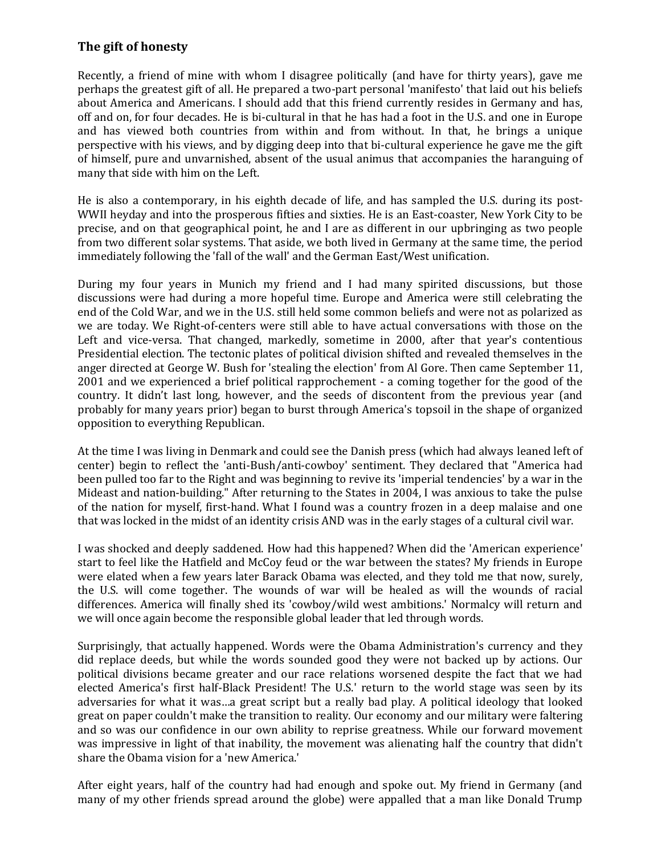## **The gift of honesty**

Recently, a friend of mine with whom I disagree politically (and have for thirty years), gave me perhaps the greatest gift of all. He prepared a two-part personal 'manifesto' that laid out his beliefs about America and Americans. I should add that this friend currently resides in Germany and has, off and on, for four decades. He is bi-cultural in that he has had a foot in the U.S. and one in Europe and has viewed both countries from within and from without. In that, he brings a unique perspective with his views, and by digging deep into that bi-cultural experience he gave me the gift of himself, pure and unvarnished, absent of the usual animus that accompanies the haranguing of many that side with him on the Left.

He is also a contemporary, in his eighth decade of life, and has sampled the U.S. during its post-WWII heyday and into the prosperous fifties and sixties. He is an East-coaster, New York City to be precise, and on that geographical point, he and I are as different in our upbringing as two people from two different solar systems. That aside, we both lived in Germany at the same time, the period immediately following the 'fall of the wall' and the German East/West unification.

During my four years in Munich my friend and I had many spirited discussions, but those discussions were had during a more hopeful time. Europe and America were still celebrating the end of the Cold War, and we in the U.S. still held some common beliefs and were not as polarized as we are today. We Right-of-centers were still able to have actual conversations with those on the Left and vice-versa. That changed, markedly, sometime in 2000, after that year's contentious Presidential election. The tectonic plates of political division shifted and revealed themselves in the anger directed at George W. Bush for 'stealing the election' from Al Gore. Then came September 11, 2001 and we experienced a brief political rapprochement - a coming together for the good of the country. It didn't last long, however, and the seeds of discontent from the previous year (and probably for many years prior) began to burst through America's topsoil in the shape of organized opposition to everything Republican.

At the time I was living in Denmark and could see the Danish press (which had always leaned left of center) begin to reflect the 'anti-Bush/anti-cowboy' sentiment. They declared that "America had been pulled too far to the Right and was beginning to revive its 'imperial tendencies' by a war in the Mideast and nation-building." After returning to the States in 2004, I was anxious to take the pulse of the nation for myself, first-hand. What I found was a country frozen in a deep malaise and one that was locked in the midst of an identity crisis AND was in the early stages of a cultural civil war.

I was shocked and deeply saddened. How had this happened? When did the 'American experience' start to feel like the Hatfield and McCoy feud or the war between the states? My friends in Europe were elated when a few years later Barack Obama was elected, and they told me that now, surely, the U.S. will come together. The wounds of war will be healed as will the wounds of racial differences. America will finally shed its 'cowboy/wild west ambitions.' Normalcy will return and we will once again become the responsible global leader that led through words.

Surprisingly, that actually happened. Words were the Obama Administration's currency and they did replace deeds, but while the words sounded good they were not backed up by actions. Our political divisions became greater and our race relations worsened despite the fact that we had elected America's first half-Black President! The U.S.' return to the world stage was seen by its adversaries for what it was…a great script but a really bad play. A political ideology that looked great on paper couldn't make the transition to reality. Our economy and our military were faltering and so was our confidence in our own ability to reprise greatness. While our forward movement was impressive in light of that inability, the movement was alienating half the country that didn't share the Obama vision for a 'new America.'

After eight years, half of the country had had enough and spoke out. My friend in Germany (and many of my other friends spread around the globe) were appalled that a man like Donald Trump